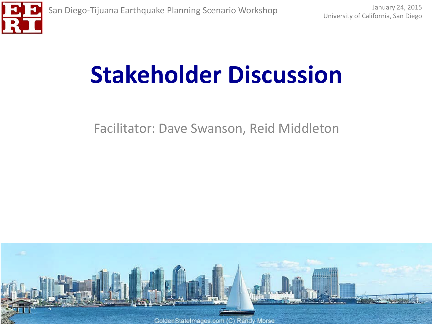

# **Stakeholder Discussion**

Facilitator: Dave Swanson, Reid Middleton

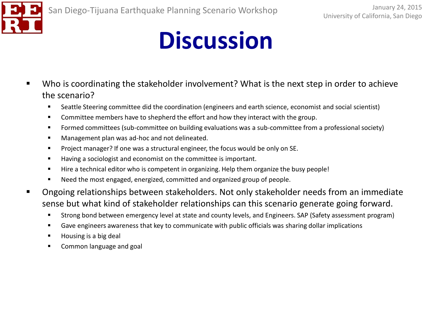

- Who is coordinating the stakeholder involvement? What is the next step in order to achieve the scenario?
	- Seattle Steering committee did the coordination (engineers and earth science, economist and social scientist)
	- **Committee members have to shepherd the effort and how they interact with the group.**
	- **F** Formed committees (sub-committee on building evaluations was a sub-committee from a professional society)
	- **Management plan was ad-hoc and not delineated.**
	- Project manager? If one was a structural engineer, the focus would be only on SE.
	- Having a sociologist and economist on the committee is important.
	- Hire a technical editor who is competent in organizing. Help them organize the busy people!
	- Need the most engaged, energized, committed and organized group of people.
- **•** Ongoing relationships between stakeholders. Not only stakeholder needs from an immediate sense but what kind of stakeholder relationships can this scenario generate going forward.
	- Strong bond between emergency level at state and county levels, and Engineers. SAP (Safety assessment program)
	- Gave engineers awareness that key to communicate with public officials was sharing dollar implications
	- Housing is a big deal
	- **EXECOMMON language and goal**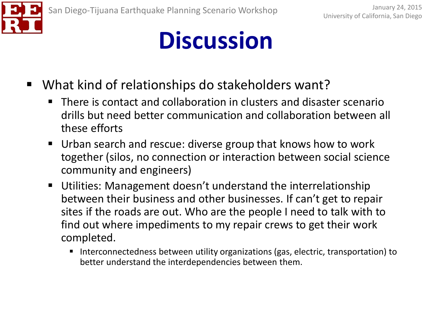

- What kind of relationships do stakeholders want?
	- There is contact and collaboration in clusters and disaster scenario drills but need better communication and collaboration between all these efforts
	- Urban search and rescue: diverse group that knows how to work together (silos, no connection or interaction between social science community and engineers)
	- Utilities: Management doesn't understand the interrelationship between their business and other businesses. If can't get to repair sites if the roads are out. Who are the people I need to talk with to find out where impediments to my repair crews to get their work completed.
		- Interconnectedness between utility organizations (gas, electric, transportation) to better understand the interdependencies between them.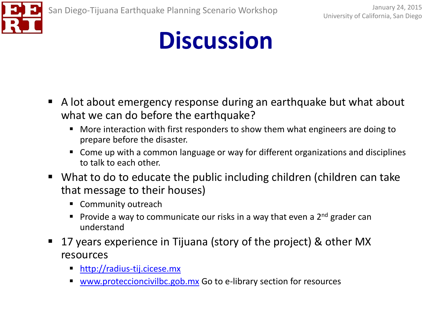

- A lot about emergency response during an earthquake but what about what we can do before the earthquake?
	- **More interaction with first responders to show them what engineers are doing to** prepare before the disaster.
	- Come up with a common language or way for different organizations and disciplines to talk to each other.
- What to do to educate the public including children (children can take that message to their houses)
	- Community outreach
	- **Provide a way to communicate our risks in a way that even a 2<sup>nd</sup> grader can** understand
- 17 years experience in Tijuana (story of the project) & other MX resources
	- [http://radius-tij.cicese.mx](http://radius-tij.cicese.mx/)
	- [www.proteccioncivilbc.gob.mx](http://www.proteccioncivilbc.gob.mx/) Go to e-library section for resources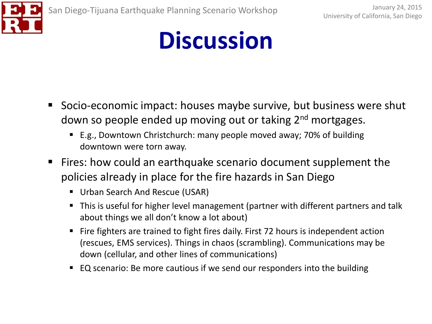

- **Socio-economic impact: houses maybe survive, but business were shut** down so people ended up moving out or taking 2<sup>nd</sup> mortgages.
	- E.g., Downtown Christchurch: many people moved away; 70% of building downtown were torn away.
- Fires: how could an earthquake scenario document supplement the policies already in place for the fire hazards in San Diego
	- **Urban Search And Rescue (USAR)**
	- This is useful for higher level management (partner with different partners and talk about things we all don't know a lot about)
	- Fire fighters are trained to fight fires daily. First 72 hours is independent action (rescues, EMS services). Things in chaos (scrambling). Communications may be down (cellular, and other lines of communications)
	- EQ scenario: Be more cautious if we send our responders into the building